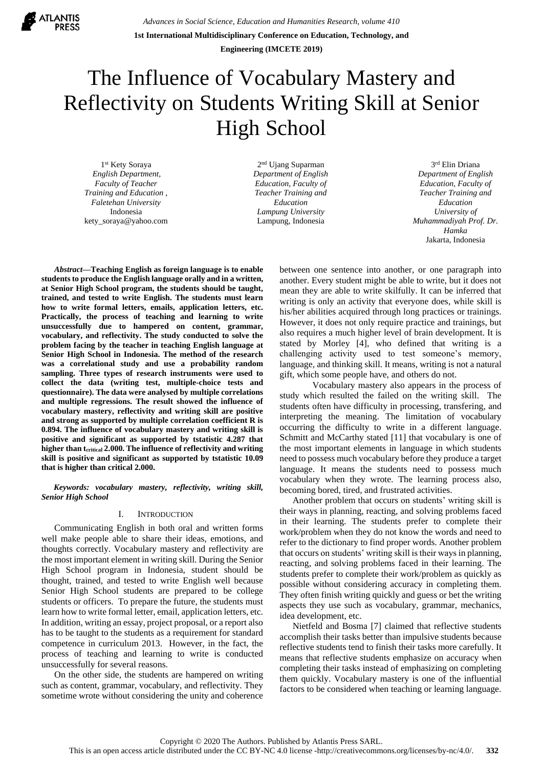

*Advances in Social Science, Education and Humanities Research, volume 410* **1st International Multidisciplinary Conference on Education, Technology, and Engineering (IMCETE 2019)**

# The Influence of Vocabulary Mastery and Reflectivity on Students Writing Skill at Senior High School

1 st Kety Soraya *English Department, Faculty of Teacher Training and Education , Faletehan University* Indonesia kety\_soraya@yahoo.com

2 nd Ujang Suparman *Department of English Education, Faculty of Teacher Training and Education Lampung University* Lampung, Indonesia

3 rd Elin Driana *Department of English Education, Faculty of Teacher Training and Education University of Muhammadiyah Prof. Dr. Hamka* Jakarta, Indonesia

*Abstract***—Teaching English as foreign language is to enable students to produce the English language orally and in a written, at Senior High School program, the students should be taught, trained, and tested to write English. The students must learn how to write formal letters, emails, application letters, etc. Practically, the process of teaching and learning to write unsuccessfully due to hampered on content, grammar, vocabulary, and reflectivity. The study conducted to solve the problem facing by the teacher in teaching English language at Senior High School in Indonesia. The method of the research was a correlational study and use a probability random sampling. Three types of research instruments were used to collect the data (writing test, multiple-choice tests and questionnaire). The data were analysed by multiple correlations and multiple regressions. The result showed the influence of vocabulary mastery, reflectivity and writing skill are positive and strong as supported by multiple correlation coefficient R is 0.894. The influence of vocabulary mastery and writing skill is positive and significant as supported by tstatistic 4.287 that higher than tcritical 2.000. The influence of reflectivity and writing skill is positive and significant as supported by tstatistic 10.09 that is higher than critical 2.000.**

*Keywords: vocabulary mastery, reflectivity, writing skill, Senior High School*

# I. INTRODUCTION

Communicating English in both oral and written forms well make people able to share their ideas, emotions, and thoughts correctly. Vocabulary mastery and reflectivity are the most important element in writing skill. During the Senior High School program in Indonesia, student should be thought, trained, and tested to write English well because Senior High School students are prepared to be college students or officers. To prepare the future, the students must learn how to write formal letter, email, application letters, etc. In addition, writing an essay, project proposal, or a report also has to be taught to the students as a requirement for standard competence in curriculum 2013. However, in the fact, the process of teaching and learning to write is conducted unsuccessfully for several reasons.

On the other side, the students are hampered on writing such as content, grammar, vocabulary, and reflectivity. They sometime wrote without considering the unity and coherence

between one sentence into another, or one paragraph into another. Every student might be able to write, but it does not mean they are able to write skilfully. It can be inferred that writing is only an activity that everyone does, while skill is his/her abilities acquired through long practices or trainings. However, it does not only require practice and trainings, but also requires a much higher level of brain development. It is stated by Morley [4], who defined that writing is a challenging activity used to test someone's memory, language, and thinking skill. It means, writing is not a natural gift, which some people have, and others do not.

Vocabulary mastery also appears in the process of study which resulted the failed on the writing skill. The students often have difficulty in processing, transfering, and interpreting the meaning. The limitation of vocabulary occurring the difficulty to write in a different language. Schmitt and McCarthy stated [11] that vocabulary is one of the most important elements in language in which students need to possess much vocabulary before they produce a target language. It means the students need to possess much vocabulary when they wrote. The learning process also, becoming bored, tired, and frustrated activities.

Another problem that occurs on students' writing skill is their ways in planning, reacting, and solving problems faced in their learning. The students prefer to complete their work/problem when they do not know the words and need to refer to the dictionary to find proper words. Another problem that occurs on students' writing skill is their ways in planning, reacting, and solving problems faced in their learning. The students prefer to complete their work/problem as quickly as possible without considering accuracy in completing them. They often finish writing quickly and guess or bet the writing aspects they use such as vocabulary, grammar, mechanics, idea development, etc.

Nietfeld and Bosma [7] claimed that reflective students accomplish their tasks better than impulsive students because reflective students tend to finish their tasks more carefully. It means that reflective students emphasize on accuracy when completing their tasks instead of emphasizing on completing them quickly. Vocabulary mastery is one of the influential factors to be considered when teaching or learning language.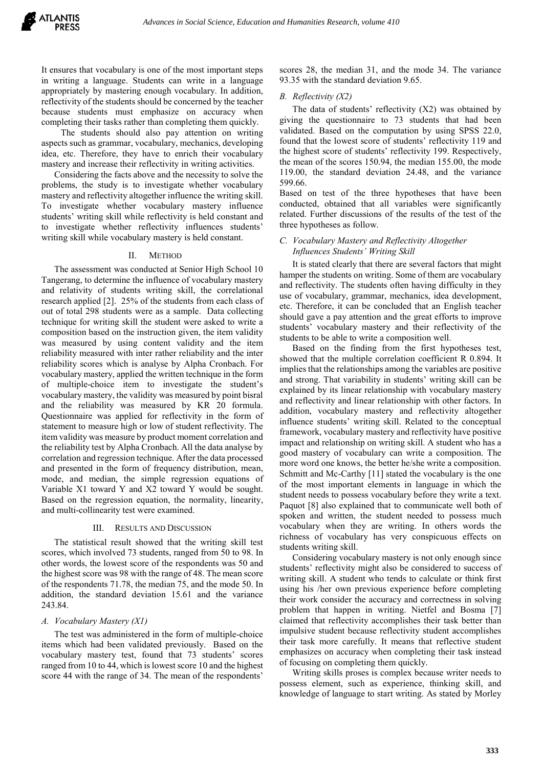It ensures that vocabulary is one of the most important steps in writing a language. Students can write in a language appropriately by mastering enough vocabulary. In addition, reflectivity of the students should be concerned by the teacher because students must emphasize on accuracy when completing their tasks rather than completing them quickly.

The students should also pay attention on writing aspects such as grammar, vocabulary, mechanics, developing idea, etc. Therefore, they have to enrich their vocabulary mastery and increase their reflectivity in writing activities.

Considering the facts above and the necessity to solve the problems, the study is to investigate whether vocabulary mastery and reflectivity altogether influence the writing skill. To investigate whether vocabulary mastery influence students' writing skill while reflectivity is held constant and to investigate whether reflectivity influences students' writing skill while vocabulary mastery is held constant.

## II. METHOD

The assessment was conducted at Senior High School 10 Tangerang, to determine the influence of vocabulary mastery and relativity of students writing skill, the correlational research applied [2]. 25% of the students from each class of out of total 298 students were as a sample. Data collecting technique for writing skill the student were asked to write a composition based on the instruction given, the item validity was measured by using content validity and the item reliability measured with inter rather reliability and the inter reliability scores which is analyse by Alpha Cronbach. For vocabulary mastery, applied the written technique in the form of multiple-choice item to investigate the student's vocabulary mastery, the validity was measured by point bisral and the reliability was measured by KR 20 formula. Questionnaire was applied for reflectivity in the form of statement to measure high or low of student reflectivity. The item validity was measure by product moment correlation and the reliability test by Alpha Cronbach. All the data analyse by correlation and regression technique. After the data processed and presented in the form of frequency distribution, mean, mode, and median, the simple regression equations of Variable X1 toward Y and X2 toward Y would be sought. Based on the regression equation, the normality, linearity, and multi-collinearity test were examined.

## III. RESULTS AND DISCUSSION

The statistical result showed that the writing skill test scores, which involved 73 students, ranged from 50 to 98. In other words, the lowest score of the respondents was 50 and the highest score was 98 with the range of 48. The mean score of the respondents 71.78, the median 75, and the mode 50. In addition, the standard deviation 15.61 and the variance 243.84.

# *A. Vocabulary Mastery (X1)*

The test was administered in the form of multiple-choice items which had been validated previously. Based on the vocabulary mastery test, found that 73 students' scores ranged from 10 to 44, which is lowest score 10 and the highest score 44 with the range of 34. The mean of the respondents'

scores 28, the median 31, and the mode 34. The variance 93.35 with the standard deviation 9.65.

## *B. Reflectivity (X2)*

The data of students' reflectivity (X2) was obtained by giving the questionnaire to 73 students that had been validated. Based on the computation by using SPSS 22.0, found that the lowest score of students' reflectivity 119 and the highest score of students' reflectivity 199. Respectively, the mean of the scores 150.94, the median 155.00, the mode 119.00, the standard deviation 24.48, and the variance 599.66.

Based on test of the three hypotheses that have been conducted, obtained that all variables were significantly related. Further discussions of the results of the test of the three hypotheses as follow.

# *C. Vocabulary Mastery and Reflectivity Altogether Influences Students' Writing Skill*

It is stated clearly that there are several factors that might hamper the students on writing. Some of them are vocabulary and reflectivity. The students often having difficulty in they use of vocabulary, grammar, mechanics, idea development, etc. Therefore, it can be concluded that an English teacher should gave a pay attention and the great efforts to improve students' vocabulary mastery and their reflectivity of the students to be able to write a composition well.

Based on the finding from the first hypotheses test, showed that the multiple correlation coefficient R 0.894. It implies that the relationships among the variables are positive and strong. That variability in students' writing skill can be explained by its linear relationship with vocabulary mastery and reflectivity and linear relationship with other factors. In addition, vocabulary mastery and reflectivity altogether influence students' writing skill. Related to the conceptual framework, vocabulary mastery and reflectivity have positive impact and relationship on writing skill. A student who has a good mastery of vocabulary can write a composition. The more word one knows, the better he/she write a composition. Schmitt and Mc-Carthy [11] stated the vocabulary is the one of the most important elements in language in which the student needs to possess vocabulary before they write a text. Paquot [8] also explained that to communicate well both of spoken and written, the student needed to possess much vocabulary when they are writing. In others words the richness of vocabulary has very conspicuous effects on students writing skill.

Considering vocabulary mastery is not only enough since students' reflectivity might also be considered to success of writing skill. A student who tends to calculate or think first using his /her own previous experience before completing their work consider the accuracy and correctness in solving problem that happen in writing. Nietfel and Bosma [7] claimed that reflectivity accomplishes their task better than impulsive student because reflectivity student accomplishes their task more carefully. It means that reflective student emphasizes on accuracy when completing their task instead of focusing on completing them quickly.

Writing skills proses is complex because writer needs to possess element, such as experience, thinking skill, and knowledge of language to start writing. As stated by Morley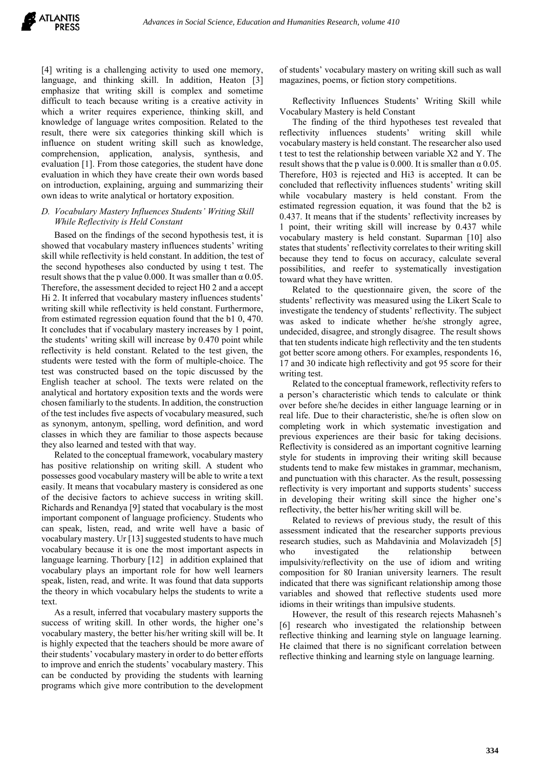[4] writing is a challenging activity to used one memory, language, and thinking skill. In addition, Heaton [3] emphasize that writing skill is complex and sometime difficult to teach because writing is a creative activity in which a writer requires experience, thinking skill, and knowledge of language writes composition. Related to the result, there were six categories thinking skill which is influence on student writing skill such as knowledge, comprehension, application, analysis, synthesis, and evaluation [1]. From those categories, the student have done evaluation in which they have create their own words based on introduction, explaining, arguing and summarizing their own ideas to write analytical or hortatory exposition.

## *D. Vocabulary Mastery Influences Students' Writing Skill While Reflectivity is Held Constant*

Based on the findings of the second hypothesis test, it is showed that vocabulary mastery influences students' writing skill while reflectivity is held constant. In addition, the test of the second hypotheses also conducted by using t test. The result shows that the p value 0.000. It was smaller than  $\alpha$  0.05. Therefore, the assessment decided to reject H0 2 and a accept Hi 2. It inferred that vocabulary mastery influences students' writing skill while reflectivity is held constant. Furthermore, from estimated regression equation found that the b1 0, 470. It concludes that if vocabulary mastery increases by 1 point, the students' writing skill will increase by 0.470 point while reflectivity is held constant. Related to the test given, the students were tested with the form of multiple-choice. The test was constructed based on the topic discussed by the English teacher at school. The texts were related on the analytical and hortatory exposition texts and the words were chosen familiarly to the students. In addition, the construction of the test includes five aspects of vocabulary measured, such as synonym, antonym, spelling, word definition, and word classes in which they are familiar to those aspects because they also learned and tested with that way.

Related to the conceptual framework, vocabulary mastery has positive relationship on writing skill. A student who possesses good vocabulary mastery will be able to write a text easily. It means that vocabulary mastery is considered as one of the decisive factors to achieve success in writing skill. Richards and Renandya [9] stated that vocabulary is the most important component of language proficiency. Students who can speak, listen, read, and write well have a basic of vocabulary mastery. Ur [13] suggested students to have much vocabulary because it is one the most important aspects in language learning. Thorbury [12] in addition explained that vocabulary plays an important role for how well learners speak, listen, read, and write. It was found that data supports the theory in which vocabulary helps the students to write a text.

As a result, inferred that vocabulary mastery supports the success of writing skill. In other words, the higher one's vocabulary mastery, the better his/her writing skill will be. It is highly expected that the teachers should be more aware of their students' vocabulary mastery in order to do better efforts to improve and enrich the students' vocabulary mastery. This can be conducted by providing the students with learning programs which give more contribution to the development of students' vocabulary mastery on writing skill such as wall magazines, poems, or fiction story competitions.

Reflectivity Influences Students' Writing Skill while Vocabulary Mastery is held Constant

The finding of the third hypotheses test revealed that reflectivity influences students' writing skill while vocabulary mastery is held constant. The researcher also used t test to test the relationship between variable X2 and Y. The result shows that the p value is 0.000. It is smaller than  $\alpha$  0.05. Therefore, H03 is rejected and Hi3 is accepted. It can be concluded that reflectivity influences students' writing skill while vocabulary mastery is held constant. From the estimated regression equation, it was found that the b2 is 0.437. It means that if the students' reflectivity increases by 1 point, their writing skill will increase by 0.437 while vocabulary mastery is held constant. Suparman [10] also states that students' reflectivity correlates to their writing skill because they tend to focus on accuracy, calculate several possibilities, and reefer to systematically investigation toward what they have written.

Related to the questionnaire given, the score of the students' reflectivity was measured using the Likert Scale to investigate the tendency of students' reflectivity. The subject was asked to indicate whether he/she strongly agree, undecided, disagree, and strongly disagree. The result shows that ten students indicate high reflectivity and the ten students got better score among others. For examples, respondents 16, 17 and 30 indicate high reflectivity and got 95 score for their writing test.

Related to the conceptual framework, reflectivity refers to a person's characteristic which tends to calculate or think over before she/he decides in either language learning or in real life. Due to their characteristic, she/he is often slow on completing work in which systematic investigation and previous experiences are their basic for taking decisions. Reflectivity is considered as an important cognitive learning style for students in improving their writing skill because students tend to make few mistakes in grammar, mechanism, and punctuation with this character. As the result, possessing reflectivity is very important and supports students' success in developing their writing skill since the higher one's reflectivity, the better his/her writing skill will be.

Related to reviews of previous study, the result of this assessment indicated that the researcher supports previous research studies, such as Mahdavinia and Molavizadeh [5] who investigated the relationship between impulsivity/reflectivity on the use of idiom and writing composition for 80 Iranian university learners. The result indicated that there was significant relationship among those variables and showed that reflective students used more idioms in their writings than impulsive students.

However, the result of this research rejects Mahasneh's [6] research who investigated the relationship between reflective thinking and learning style on language learning. He claimed that there is no significant correlation between reflective thinking and learning style on language learning.